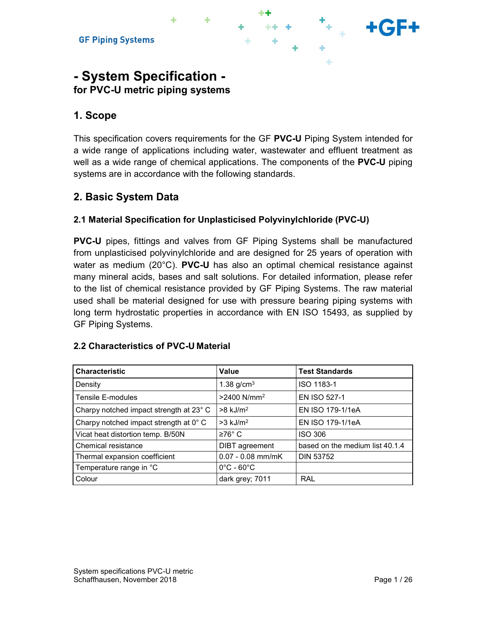# - System Specification for PVC-U metric piping systems

# 1. Scope

This specification covers requirements for the GF PVC-U Piping System intended for a wide range of applications including water, wastewater and effluent treatment as well as a wide range of chemical applications. The components of the **PVC-U** piping systems are in accordance with the following standards.

# 2. Basic System Data

## 2.1 Material Specification for Unplasticised Polyvinylchloride (PVC-U)

PVC-U pipes, fittings and valves from GF Piping Systems shall be manufactured from unplasticised polyvinylchloride and are designed for 25 years of operation with water as medium (20°C). PVC-U has also an optimal chemical resistance against many mineral acids, bases and salt solutions. For detailed information, please refer to the list of chemical resistance provided by GF Piping Systems. The raw material used shall be material designed for use with pressure bearing piping systems with long term hydrostatic properties in accordance with EN ISO 15493, as supplied by GF Piping Systems.

#### 2.2 Characteristics of PVC-U Material

| <b>Characteristic</b>                   | <b>Value</b>                    | <b>Test Standards</b>           |
|-----------------------------------------|---------------------------------|---------------------------------|
| Density                                 | 1.38 $g/cm3$                    | ISO 1183-1                      |
| Tensile E-modules                       | >2400 N/mm <sup>2</sup>         | EN ISO 527-1                    |
| Charpy notched impact strength at 23° C | $>8$ kJ/m <sup>2</sup>          | EN ISO 179-1/1eA                |
| Charpy notched impact strength at 0° C  | $>3$ kJ/m <sup>2</sup>          | EN ISO 179-1/1eA                |
| Vicat heat distortion temp. B/50N       | $≥76°$ C                        | <b>ISO 306</b>                  |
| Chemical resistance                     | DIBT agreement                  | based on the medium list 40.1.4 |
| Thermal expansion coefficient           | $0.07 - 0.08$ mm/mK             | <b>DIN 53752</b>                |
| Temperature range in °C                 | $0^{\circ}$ C - 60 $^{\circ}$ C |                                 |
| Colour                                  | dark grey; 7011                 | RAL                             |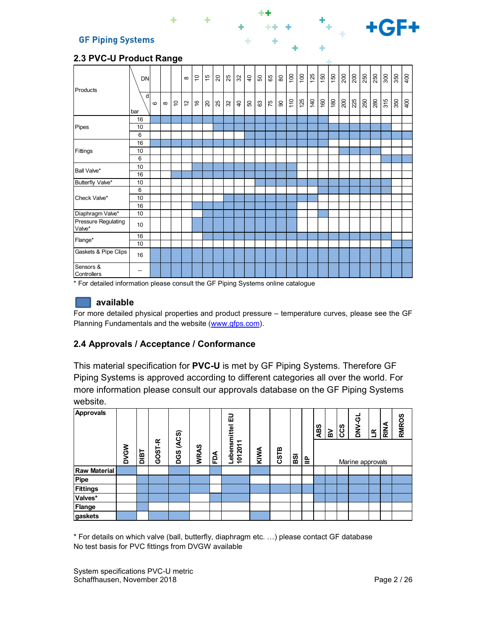| Products                             | <b>DN</b>                |         |          |             | $\infty$    | $\overline{C}$ |                          | E 8 8 8 8 |                |                |    | 50 | 65 | 80                 |     | $\frac{1}{2}$ | 125            | $\begin{array}{c c} 150 \\ 150 \end{array}$ |                 | 200 | 200 | 250 |     | $\frac{50}{30}$ | 350 | $\frac{1}{3}$ |
|--------------------------------------|--------------------------|---------|----------|-------------|-------------|----------------|--------------------------|-----------|----------------|----------------|----|----|----|--------------------|-----|---------------|----------------|---------------------------------------------|-----------------|-----|-----|-----|-----|-----------------|-----|---------------|
|                                      | d<br>bar                 | $\circ$ | $\infty$ | $\tilde{a}$ | $\tilde{c}$ | $\frac{6}{5}$  | $\overline{\mathcal{S}}$ | 25        | $\mathfrak{B}$ | Q <sub>b</sub> | SO | 63 | 75 | $\pmb{\mathbb{S}}$ | 110 | 125           | $\frac{40}{5}$ | 160                                         | $\frac{180}{2}$ | 200 | 225 | 250 | 280 | 315             | 350 | 400           |
|                                      | 16                       |         |          |             |             |                |                          |           |                |                |    |    |    |                    |     |               |                |                                             |                 |     |     |     |     |                 |     |               |
| Pipes                                | 10                       |         |          |             |             |                |                          |           |                |                |    |    |    |                    |     |               |                |                                             |                 |     |     |     |     |                 |     |               |
|                                      | 6                        |         |          |             |             |                |                          |           |                |                |    |    |    |                    |     |               |                |                                             |                 |     |     |     |     |                 |     |               |
|                                      | 16                       |         |          |             |             |                |                          |           |                |                |    |    |    |                    |     |               |                |                                             |                 |     |     |     |     |                 |     |               |
| Fittings                             | 10                       |         |          |             |             |                |                          |           |                |                |    |    |    |                    |     |               |                |                                             |                 |     |     |     |     |                 |     |               |
|                                      | 6                        |         |          |             |             |                |                          |           |                |                |    |    |    |                    |     |               |                |                                             |                 |     |     |     |     |                 |     |               |
| Ball Valve*                          | 10                       |         |          |             |             |                |                          |           |                |                |    |    |    |                    |     |               |                |                                             |                 |     |     |     |     |                 |     |               |
|                                      | 16                       |         |          |             |             |                |                          |           |                |                |    |    |    |                    |     |               |                |                                             |                 |     |     |     |     |                 |     |               |
| Butterfly Valve*                     | 10                       |         |          |             |             |                |                          |           |                |                |    |    |    |                    |     |               |                |                                             |                 |     |     |     |     |                 |     |               |
|                                      | 6                        |         |          |             |             |                |                          |           |                |                |    |    |    |                    |     |               |                |                                             |                 |     |     |     |     |                 |     |               |
| Check Valve*                         | 10                       |         |          |             |             |                |                          |           |                |                |    |    |    |                    |     |               |                |                                             |                 |     |     |     |     |                 |     |               |
|                                      | 16                       |         |          |             |             |                |                          |           |                |                |    |    |    |                    |     |               |                |                                             |                 |     |     |     |     |                 |     |               |
| Diaphragm Valve*                     | 10                       |         |          |             |             |                |                          |           |                |                |    |    |    |                    |     |               |                |                                             |                 |     |     |     |     |                 |     |               |
| <b>Pressure Regulating</b><br>Valve* | 10                       |         |          |             |             |                |                          |           |                |                |    |    |    |                    |     |               |                |                                             |                 |     |     |     |     |                 |     |               |
|                                      | 16                       |         |          |             |             |                |                          |           |                |                |    |    |    |                    |     |               |                |                                             |                 |     |     |     |     |                 |     |               |
| Flange*                              | $10$                     |         |          |             |             |                |                          |           |                |                |    |    |    |                    |     |               |                |                                             |                 |     |     |     |     |                 |     |               |
| Gaskets & Pipe Clips                 | 16                       |         |          |             |             |                |                          |           |                |                |    |    |    |                    |     |               |                |                                             |                 |     |     |     |     |                 |     |               |
| Sensors &<br>Controllers             | $\overline{\phantom{a}}$ |         |          |             |             |                |                          |           |                |                |    |    |    |                    |     |               |                |                                             |                 |     |     |     |     |                 |     |               |

#### 2.3 PVC-U Product Range

\* For detailed information please consult the GF Piping Systems online catalogue

### **available**

For more detailed physical properties and product pressure – temperature curves, please see the GF Planning Fundamentals and the website (www.gfps.com).

## 2.4 Approvals / Acceptance / Conformance

This material specification for PVC-U is met by GF Piping Systems. Therefore GF Piping Systems is approved according to different categories all over the world. For more information please consult our approvals database on the GF Piping Systems website.

| Approvals           | $\mathsf{S}$<br>٥ | Taid | ۴<br>GOST- | (ACS)<br>DGS | WRAS | FDA | 品<br>nittel<br>Lebensm<br>1012011 | KIWA | CSTB | <b>ISS</b> | ا≘ | <b>ABS</b> | $\overline{\mathbf{R}}$ | ccs | ಠ<br>ЙN<br>О<br>Marine approvals | $\overline{\mathbf{r}}$ | RINA | <b>RMROS</b> |
|---------------------|-------------------|------|------------|--------------|------|-----|-----------------------------------|------|------|------------|----|------------|-------------------------|-----|----------------------------------|-------------------------|------|--------------|
| <b>Raw Material</b> |                   |      |            |              |      |     |                                   |      |      |            |    |            |                         |     |                                  |                         |      |              |
| Pipe                |                   |      |            |              |      |     |                                   |      |      |            |    |            |                         |     |                                  |                         |      |              |
| <b>Fittings</b>     |                   |      |            |              |      |     |                                   |      |      |            |    |            |                         |     |                                  |                         |      |              |
| Valves*             |                   |      |            |              |      |     |                                   |      |      |            |    |            |                         |     |                                  |                         |      |              |
| Flange              |                   |      |            |              |      |     |                                   |      |      |            |    |            |                         |     |                                  |                         |      |              |
| gaskets             |                   |      |            |              |      |     |                                   |      |      |            |    |            |                         |     |                                  |                         |      |              |

\* For details on which valve (ball, butterfly, diaphragm etc. …) please contact GF database No test basis for PVC fittings from DVGW available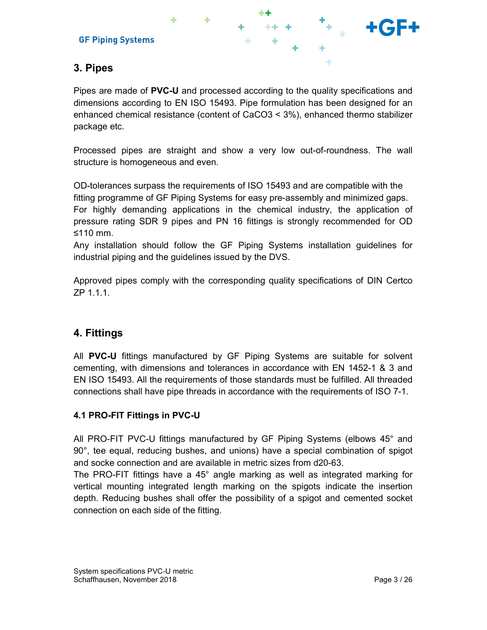



# 3. Pipes

Pipes are made of PVC-U and processed according to the quality specifications and dimensions according to EN ISO 15493. Pipe formulation has been designed for an enhanced chemical resistance (content of CaCO3 < 3%), enhanced thermo stabilizer package etc.

Processed pipes are straight and show a very low out-of-roundness. The wall structure is homogeneous and even.

OD-tolerances surpass the requirements of ISO 15493 and are compatible with the fitting programme of GF Piping Systems for easy pre-assembly and minimized gaps. For highly demanding applications in the chemical industry, the application of pressure rating SDR 9 pipes and PN 16 fittings is strongly recommended for OD ≤110 mm.

Any installation should follow the GF Piping Systems installation guidelines for industrial piping and the guidelines issued by the DVS.

Approved pipes comply with the corresponding quality specifications of DIN Certco ZP 1.1.1.

# 4. Fittings

All PVC-U fittings manufactured by GF Piping Systems are suitable for solvent cementing, with dimensions and tolerances in accordance with EN 1452-1 & 3 and EN ISO 15493. All the requirements of those standards must be fulfilled. All threaded connections shall have pipe threads in accordance with the requirements of ISO 7-1.

## 4.1 PRO-FIT Fittings in PVC-U

All PRO-FIT PVC-U fittings manufactured by GF Piping Systems (elbows 45° and 90°, tee equal, reducing bushes, and unions) have a special combination of spigot and socke connection and are available in metric sizes from d20-63.

The PRO-FIT fittings have a 45° angle marking as well as integrated marking for vertical mounting integrated length marking on the spigots indicate the insertion depth. Reducing bushes shall offer the possibility of a spigot and cemented socket connection on each side of the fitting.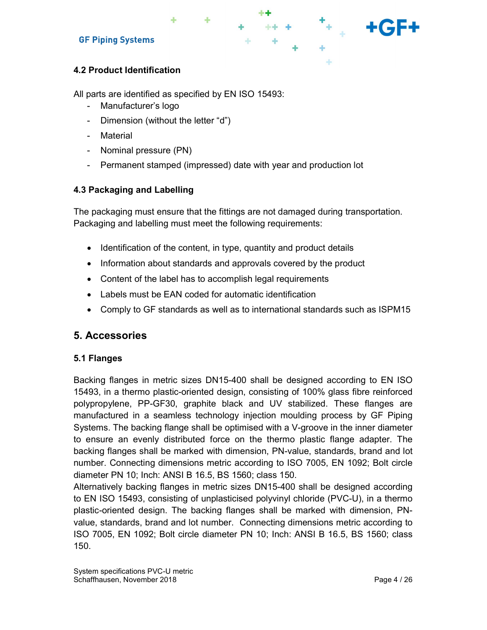## 4.2 Product Identification

All parts are identified as specified by EN ISO 15493:

- Manufacturer's logo
- Dimension (without the letter "d")
- Material
- Nominal pressure (PN)
- Permanent stamped (impressed) date with year and production lot

### 4.3 Packaging and Labelling

The packaging must ensure that the fittings are not damaged during transportation. Packaging and labelling must meet the following requirements:

 $\mathcal{F}_{\mathcal{F}_{\mathcal{A},\mathcal{C}}}$ 

- Identification of the content, in type, quantity and product details
- Information about standards and approvals covered by the product
- Content of the label has to accomplish legal requirements
- Labels must be EAN coded for automatic identification
- Comply to GF standards as well as to international standards such as ISPM15

## 5. Accessories

#### 5.1 Flanges

Backing flanges in metric sizes DN15-400 shall be designed according to EN ISO 15493, in a thermo plastic-oriented design, consisting of 100% glass fibre reinforced polypropylene, PP-GF30, graphite black and UV stabilized. These flanges are manufactured in a seamless technology injection moulding process by GF Piping Systems. The backing flange shall be optimised with a V-groove in the inner diameter to ensure an evenly distributed force on the thermo plastic flange adapter. The backing flanges shall be marked with dimension, PN-value, standards, brand and lot number. Connecting dimensions metric according to ISO 7005, EN 1092; Bolt circle diameter PN 10; Inch: ANSI B 16.5, BS 1560; class 150.

Alternatively backing flanges in metric sizes DN15-400 shall be designed according to EN ISO 15493, consisting of unplasticised polyvinyl chloride (PVC-U), in a thermo plastic-oriented design. The backing flanges shall be marked with dimension, PNvalue, standards, brand and lot number. Connecting dimensions metric according to ISO 7005, EN 1092; Bolt circle diameter PN 10; Inch: ANSI B 16.5, BS 1560; class 150.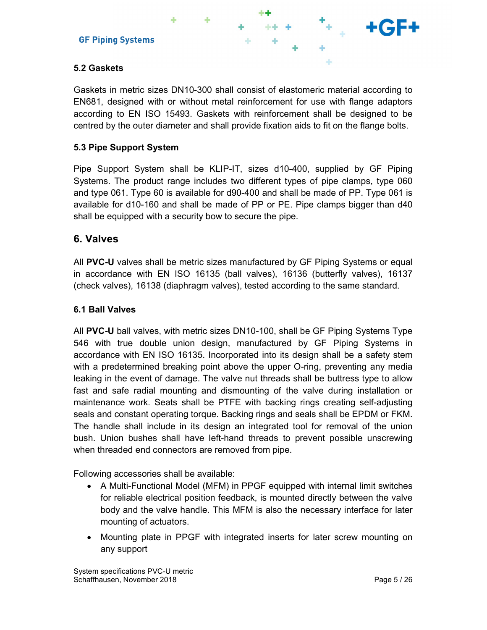

## 5.2 Gaskets

Gaskets in metric sizes DN10-300 shall consist of elastomeric material according to EN681, designed with or without metal reinforcement for use with flange adaptors according to EN ISO 15493. Gaskets with reinforcement shall be designed to be centred by the outer diameter and shall provide fixation aids to fit on the flange bolts.

### 5.3 Pipe Support System

Pipe Support System shall be KLIP-IT, sizes d10-400, supplied by GF Piping Systems. The product range includes two different types of pipe clamps, type 060 and type 061. Type 60 is available for d90-400 and shall be made of PP. Type 061 is available for d10-160 and shall be made of PP or PE. Pipe clamps bigger than d40 shall be equipped with a security bow to secure the pipe.

## 6. Valves

All PVC-U valves shall be metric sizes manufactured by GF Piping Systems or equal in accordance with EN ISO 16135 (ball valves), 16136 (butterfly valves), 16137 (check valves), 16138 (diaphragm valves), tested according to the same standard.

#### 6.1 Ball Valves

All PVC-U ball valves, with metric sizes DN10-100, shall be GF Piping Systems Type 546 with true double union design, manufactured by GF Piping Systems in accordance with EN ISO 16135. Incorporated into its design shall be a safety stem with a predetermined breaking point above the upper O-ring, preventing any media leaking in the event of damage. The valve nut threads shall be buttress type to allow fast and safe radial mounting and dismounting of the valve during installation or maintenance work. Seats shall be PTFE with backing rings creating self-adjusting seals and constant operating torque. Backing rings and seals shall be EPDM or FKM. The handle shall include in its design an integrated tool for removal of the union bush. Union bushes shall have left-hand threads to prevent possible unscrewing when threaded end connectors are removed from pipe.

Following accessories shall be available:

- A Multi-Functional Model (MFM) in PPGF equipped with internal limit switches for reliable electrical position feedback, is mounted directly between the valve body and the valve handle. This MFM is also the necessary interface for later mounting of actuators.
- Mounting plate in PPGF with integrated inserts for later screw mounting on any support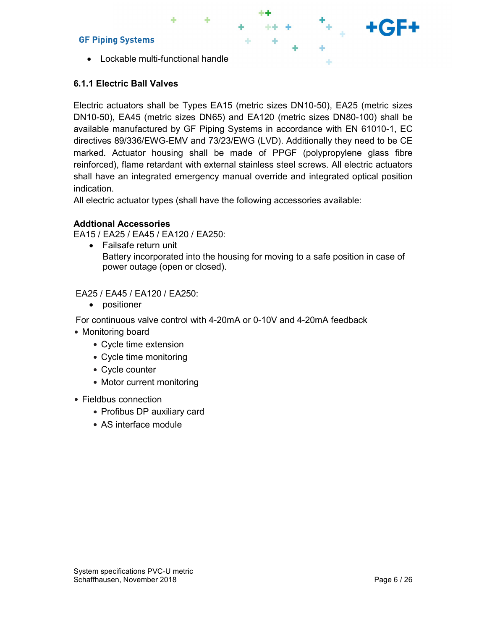Lockable multi-functional handle

## 6.1.1 Electric Ball Valves

Electric actuators shall be Types EA15 (metric sizes DN10-50), EA25 (metric sizes DN10-50), EA45 (metric sizes DN65) and EA120 (metric sizes DN80-100) shall be available manufactured by GF Piping Systems in accordance with EN 61010-1, EC directives 89/336/EWG-EMV and 73/23/EWG (LVD). Additionally they need to be CE marked. Actuator housing shall be made of PPGF (polypropylene glass fibre reinforced), flame retardant with external stainless steel screws. All electric actuators shall have an integrated emergency manual override and integrated optical position indication.

All electric actuator types (shall have the following accessories available:

#### Addtional Accessories

EA15 / EA25 / EA45 / EA120 / EA250:

 Failsafe return unit Battery incorporated into the housing for moving to a safe position in case of power outage (open or closed).

EA25 / EA45 / EA120 / EA250:

• positioner

For continuous valve control with 4-20mA or 0-10V and 4-20mA feedback

- Monitoring board
	- Cycle time extension
	- Cycle time monitoring
	- Cycle counter
	- Motor current monitoring
- Fieldbus connection
	- Profibus DP auxiliary card
	- AS interface module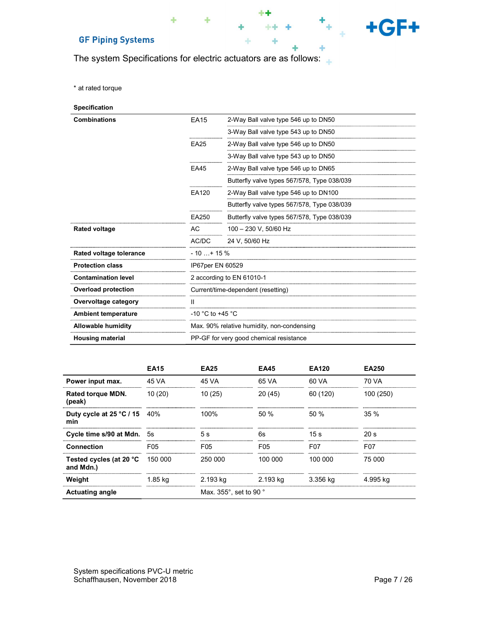The system Specifications for electric actuators are as follows:

÷

\*\* .

÷

 $++ +$ 

÷

÷

÷

 $+GF+$ 

۰

\* at rated torque

| <b>Specification</b>       |                      |                                             |
|----------------------------|----------------------|---------------------------------------------|
| <b>Combinations</b>        | <b>EA15</b>          | 2-Way Ball valve type 546 up to DN50        |
|                            |                      | 3-Way Ball valve type 543 up to DN50        |
|                            | <b>EA25</b>          | 2-Way Ball valve type 546 up to DN50        |
|                            |                      | 3-Way Ball valve type 543 up to DN50        |
|                            | EA45                 | 2-Way Ball valve type 546 up to DN65        |
|                            |                      | Butterfly valve types 567/578, Type 038/039 |
|                            | EA120                | 2-Way Ball valve type 546 up to DN100       |
|                            |                      | Butterfly valve types 567/578, Type 038/039 |
|                            | EA250                | Butterfly valve types 567/578, Type 038/039 |
| <b>Rated voltage</b>       | AC.                  | 100 - 230 V, 50/60 Hz                       |
|                            | AC/DC                | 24 V, 50/60 Hz                              |
| Rated voltage tolerance    | $-10+15%$            |                                             |
| <b>Protection class</b>    | IP67per EN 60529     |                                             |
| <b>Contamination level</b> |                      | 2 according to EN 61010-1                   |
| <b>Overload protection</b> |                      | Current/time-dependent (resetting)          |
| Overvoltage category       | Ш                    |                                             |
| <b>Ambient temperature</b> | $-10$ °C to $+45$ °C |                                             |
| Allowable humidity         |                      | Max. 90% relative humidity, non-condensing  |
| <b>Housing material</b>    |                      | PP-GF for very good chemical resistance     |

|                                              | <b>EA15</b>     | <b>EA25</b>            | <b>EA45</b> | <b>EA120</b> | <b>EA250</b>    |
|----------------------------------------------|-----------------|------------------------|-------------|--------------|-----------------|
| Power input max.                             | 45 VA<br>       | 45 VA                  | 65 VA<br>   | 60 VA        | 70 VA<br>       |
| Rated torque MDN.<br>(peak)                  | 10(20)          | 10(25)                 | 20(45)      | 60 (120)     | 100 (250)       |
| Duty cycle at $25^{\circ}$ C / 15 40%<br>min |                 | 100%                   | 50%         | 50%          | 35%             |
| Cycle time s/90 at Mdn.                      | 5s              | 5s                     | 6s          | 15 s         | 20 s            |
| <b>Connection</b>                            | F <sub>05</sub> | F05                    | F05         | F07          | F <sub>07</sub> |
| Tested cycles (at 20 °C<br>and Mdn.)         | 150 000         | 250,000                | 100.000     | 100.000      | 75 000          |
| Weight                                       | 1.85 ka         | 2.193 kg               | 2.193 ka    | 3.356 ka     | 4.995 ka        |
| <b>Actuating angle</b>                       |                 | Max. 355°, set to 90 ° |             |              |                 |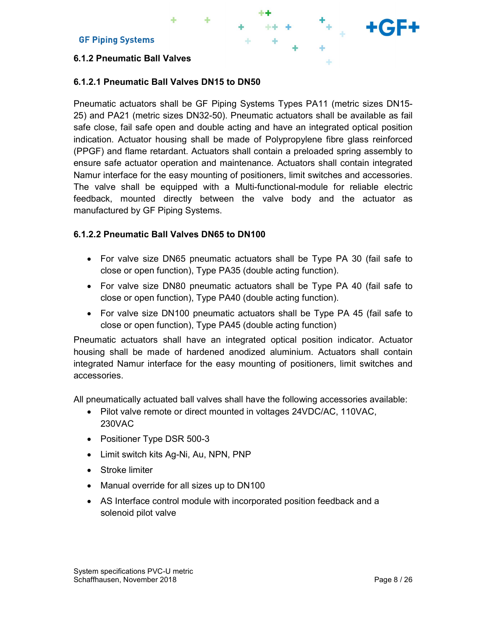#### 6.1.2 Pneumatic Ball Valves

### 6.1.2.1 Pneumatic Ball Valves DN15 to DN50

Pneumatic actuators shall be GF Piping Systems Types PA11 (metric sizes DN15- 25) and PA21 (metric sizes DN32-50). Pneumatic actuators shall be available as fail safe close, fail safe open and double acting and have an integrated optical position indication. Actuator housing shall be made of Polypropylene fibre glass reinforced (PPGF) and flame retardant. Actuators shall contain a preloaded spring assembly to ensure safe actuator operation and maintenance. Actuators shall contain integrated Namur interface for the easy mounting of positioners, limit switches and accessories. The valve shall be equipped with a Multi-functional-module for reliable electric feedback, mounted directly between the valve body and the actuator as manufactured by GF Piping Systems.

### 6.1.2.2 Pneumatic Ball Valves DN65 to DN100

- For valve size DN65 pneumatic actuators shall be Type PA 30 (fail safe to close or open function), Type PA35 (double acting function).
- For valve size DN80 pneumatic actuators shall be Type PA 40 (fail safe to close or open function), Type PA40 (double acting function).
- For valve size DN100 pneumatic actuators shall be Type PA 45 (fail safe to close or open function), Type PA45 (double acting function)

Pneumatic actuators shall have an integrated optical position indicator. Actuator housing shall be made of hardened anodized aluminium. Actuators shall contain integrated Namur interface for the easy mounting of positioners, limit switches and accessories.

All pneumatically actuated ball valves shall have the following accessories available:

- Pilot valve remote or direct mounted in voltages 24VDC/AC, 110VAC, 230VAC
- Positioner Type DSR 500-3
- Limit switch kits Ag-Ni, Au, NPN, PNP
- Stroke limiter
- Manual override for all sizes up to DN100
- AS Interface control module with incorporated position feedback and a solenoid pilot valve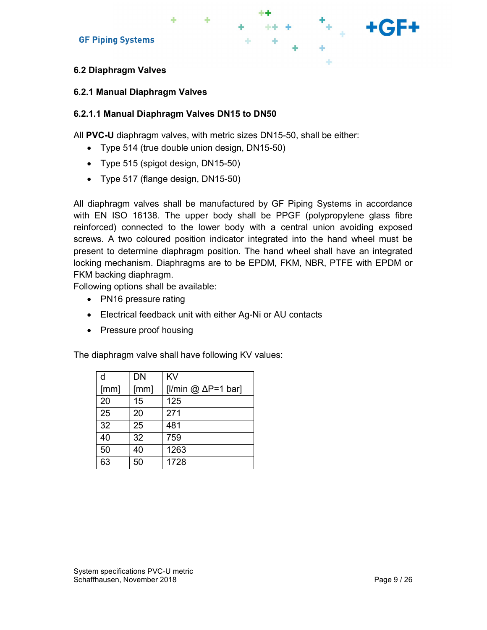

#### 6.2.1 Manual Diaphragm Valves

#### 6.2.1.1 Manual Diaphragm Valves DN15 to DN50

All PVC-U diaphragm valves, with metric sizes DN15-50, shall be either:

- Type 514 (true double union design, DN15-50)
- Type 515 (spigot design, DN15-50)
- Type 517 (flange design, DN15-50)

All diaphragm valves shall be manufactured by GF Piping Systems in accordance with EN ISO 16138. The upper body shall be PPGF (polypropylene glass fibre reinforced) connected to the lower body with a central union avoiding exposed screws. A two coloured position indicator integrated into the hand wheel must be present to determine diaphragm position. The hand wheel shall have an integrated locking mechanism. Diaphragms are to be EPDM, FKM, NBR, PTFE with EPDM or FKM backing diaphragm.

Following options shall be available:

- PN16 pressure rating
- Electrical feedback unit with either Ag-Ni or AU contacts
- Pressure proof housing

The diaphragm valve shall have following KV values:

| d    | <b>DN</b> | KV                         |
|------|-----------|----------------------------|
| [mm] | [mm]      | [I/min @ $\Delta P=1$ bar] |
| 20   | 15        | 125                        |
| 25   | 20        | 271                        |
| 32   | 25        | 481                        |
| 40   | 32        | 759                        |
| 50   | 40        | 1263                       |
| 63   | 50        | 1728                       |

 $H^+$  + + GF+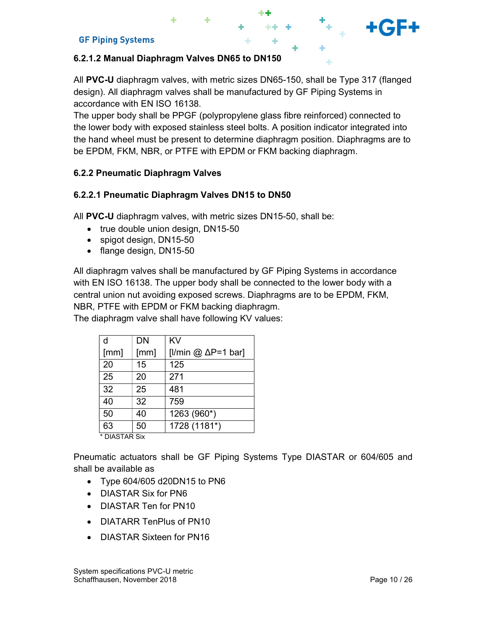#### 6.2.1.2 Manual Diaphragm Valves DN65 to DN150

All PVC-U diaphragm valves, with metric sizes DN65-150, shall be Type 317 (flanged design). All diaphragm valves shall be manufactured by GF Piping Systems in accordance with EN ISO 16138.

The upper body shall be PPGF (polypropylene glass fibre reinforced) connected to the lower body with exposed stainless steel bolts. A position indicator integrated into the hand wheel must be present to determine diaphragm position. Diaphragms are to be EPDM, FKM, NBR, or PTFE with EPDM or FKM backing diaphragm.

#### 6.2.2 Pneumatic Diaphragm Valves

#### 6.2.2.1 Pneumatic Diaphragm Valves DN15 to DN50

All PVC-U diaphragm valves, with metric sizes DN15-50, shall be:

- true double union design, DN15-50
- spigot design, DN15-50
- flange design, DN15-50

All diaphragm valves shall be manufactured by GF Piping Systems in accordance with EN ISO 16138. The upper body shall be connected to the lower body with a central union nut avoiding exposed screws. Diaphragms are to be EPDM, FKM, NBR, PTFE with EPDM or FKM backing diaphragm.

The diaphragm valve shall have following KV values:

| d             | <b>DN</b> | <b>KV</b>                    |
|---------------|-----------|------------------------------|
| [mm]          | [mm]      | [I/min @ $\Delta P = 1$ bar] |
| 20            | 15        | 125                          |
| 25            | 20        | 271                          |
| 32            | 25        | 481                          |
| 40            | 32        | 759                          |
| 50            | 40        | 1263 (960*)                  |
| 63            | 50        | 1728 (1181*)                 |
| * DIASTAR Six |           |                              |

Pneumatic actuators shall be GF Piping Systems Type DIASTAR or 604/605 and shall be available as

- Type 604/605 d20DN15 to PN6
- **DIASTAR Six for PN6**
- DIASTAR Ten for PN10
- DIATARR TenPlus of PN10
- DIASTAR Sixteen for PN16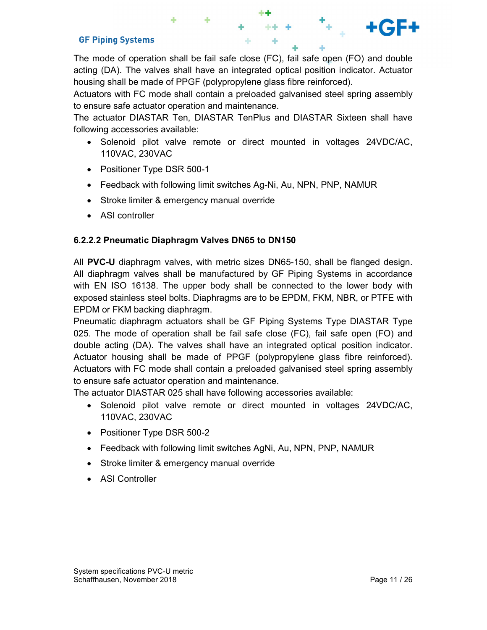The mode of operation shall be fail safe close (FC), fail safe open (FO) and double acting (DA). The valves shall have an integrated optical position indicator. Actuator housing shall be made of PPGF (polypropylene glass fibre reinforced).

Actuators with FC mode shall contain a preloaded galvanised steel spring assembly to ensure safe actuator operation and maintenance.

The actuator DIASTAR Ten, DIASTAR TenPlus and DIASTAR Sixteen shall have following accessories available:

- Solenoid pilot valve remote or direct mounted in voltages 24VDC/AC, 110VAC, 230VAC
- Positioner Type DSR 500-1
- Feedback with following limit switches Ag-Ni, Au, NPN, PNP, NAMUR
- Stroke limiter & emergency manual override
- ASI controller

## 6.2.2.2 Pneumatic Diaphragm Valves DN65 to DN150

All PVC-U diaphragm valves, with metric sizes DN65-150, shall be flanged design. All diaphragm valves shall be manufactured by GF Piping Systems in accordance with EN ISO 16138. The upper body shall be connected to the lower body with exposed stainless steel bolts. Diaphragms are to be EPDM, FKM, NBR, or PTFE with EPDM or FKM backing diaphragm.

Pneumatic diaphragm actuators shall be GF Piping Systems Type DIASTAR Type 025. The mode of operation shall be fail safe close (FC), fail safe open (FO) and double acting (DA). The valves shall have an integrated optical position indicator. Actuator housing shall be made of PPGF (polypropylene glass fibre reinforced). Actuators with FC mode shall contain a preloaded galvanised steel spring assembly to ensure safe actuator operation and maintenance.

The actuator DIASTAR 025 shall have following accessories available:

- Solenoid pilot valve remote or direct mounted in voltages 24VDC/AC, 110VAC, 230VAC
- Positioner Type DSR 500-2
- Feedback with following limit switches AgNi, Au, NPN, PNP, NAMUR
- Stroke limiter & emergency manual override
- ASI Controller

+GF+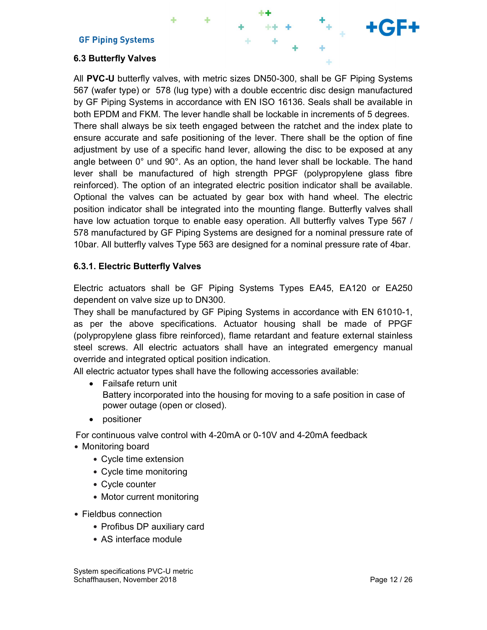## 6.3 Butterfly Valves

All PVC-U butterfly valves, with metric sizes DN50-300, shall be GF Piping Systems 567 (wafer type) or 578 (lug type) with a double eccentric disc design manufactured by GF Piping Systems in accordance with EN ISO 16136. Seals shall be available in both EPDM and FKM. The lever handle shall be lockable in increments of 5 degrees. There shall always be six teeth engaged between the ratchet and the index plate to ensure accurate and safe positioning of the lever. There shall be the option of fine adjustment by use of a specific hand lever, allowing the disc to be exposed at any angle between 0° und 90°. As an option, the hand lever shall be lockable. The hand lever shall be manufactured of high strength PPGF (polypropylene glass fibre reinforced). The option of an integrated electric position indicator shall be available. Optional the valves can be actuated by gear box with hand wheel. The electric position indicator shall be integrated into the mounting flange. Butterfly valves shall have low actuation torque to enable easy operation. All butterfly valves Type 567 / 578 manufactured by GF Piping Systems are designed for a nominal pressure rate of 10bar. All butterfly valves Type 563 are designed for a nominal pressure rate of 4bar.

#### 6.3.1. Electric Butterfly Valves

Electric actuators shall be GF Piping Systems Types EA45, EA120 or EA250 dependent on valve size up to DN300.

They shall be manufactured by GF Piping Systems in accordance with EN 61010-1, as per the above specifications. Actuator housing shall be made of PPGF (polypropylene glass fibre reinforced), flame retardant and feature external stainless steel screws. All electric actuators shall have an integrated emergency manual override and integrated optical position indication.

All electric actuator types shall have the following accessories available:

- Failsafe return unit Battery incorporated into the housing for moving to a safe position in case of power outage (open or closed).
- positioner

For continuous valve control with 4-20mA or 0-10V and 4-20mA feedback

- Monitoring board
	- Cycle time extension
	- Cycle time monitoring
	- Cycle counter
	- Motor current monitoring
- Fieldbus connection
	- Profibus DP auxiliary card
	- AS interface module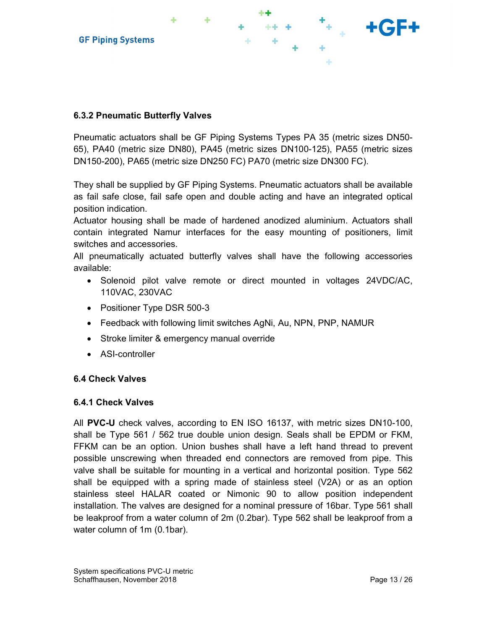

## 6.3.2 Pneumatic Butterfly Valves

Pneumatic actuators shall be GF Piping Systems Types PA 35 (metric sizes DN50- 65), PA40 (metric size DN80), PA45 (metric sizes DN100-125), PA55 (metric sizes DN150-200), PA65 (metric size DN250 FC) PA70 (metric size DN300 FC).

They shall be supplied by GF Piping Systems. Pneumatic actuators shall be available as fail safe close, fail safe open and double acting and have an integrated optical position indication.

Actuator housing shall be made of hardened anodized aluminium. Actuators shall contain integrated Namur interfaces for the easy mounting of positioners, limit switches and accessories.

All pneumatically actuated butterfly valves shall have the following accessories available:

- Solenoid pilot valve remote or direct mounted in voltages 24VDC/AC, 110VAC, 230VAC
- Positioner Type DSR 500-3
- Feedback with following limit switches AgNi, Au, NPN, PNP, NAMUR
- Stroke limiter & emergency manual override
- ASI-controller

#### 6.4 Check Valves

#### 6.4.1 Check Valves

All PVC-U check valves, according to EN ISO 16137, with metric sizes DN10-100, shall be Type 561 / 562 true double union design. Seals shall be EPDM or FKM, FFKM can be an option. Union bushes shall have a left hand thread to prevent possible unscrewing when threaded end connectors are removed from pipe. This valve shall be suitable for mounting in a vertical and horizontal position. Type 562 shall be equipped with a spring made of stainless steel (V2A) or as an option stainless steel HALAR coated or Nimonic 90 to allow position independent installation. The valves are designed for a nominal pressure of 16bar. Type 561 shall be leakproof from a water column of 2m (0.2bar). Type 562 shall be leakproof from a water column of 1m (0.1bar).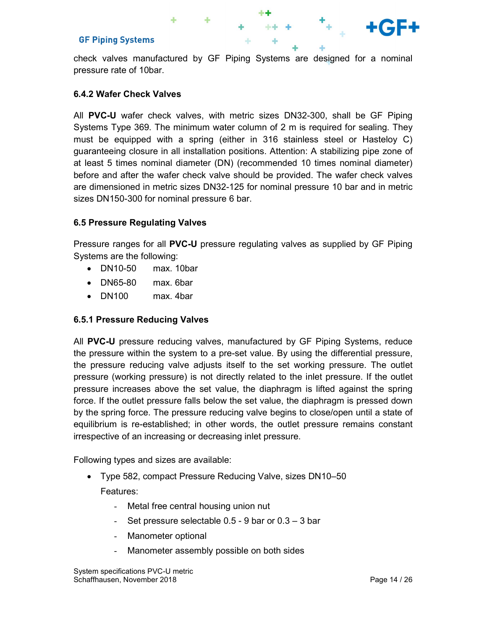check valves manufactured by GF Piping Systems are designed for a nominal pressure rate of 10bar.

## 6.4.2 Wafer Check Valves

All PVC-U wafer check valves, with metric sizes DN32-300, shall be GF Piping Systems Type 369. The minimum water column of 2 m is required for sealing. They must be equipped with a spring (either in 316 stainless steel or Hasteloy C) guaranteeing closure in all installation positions. Attention: A stabilizing pipe zone of at least 5 times nominal diameter (DN) (recommended 10 times nominal diameter) before and after the wafer check valve should be provided. The wafer check valves are dimensioned in metric sizes DN32-125 for nominal pressure 10 bar and in metric sizes DN150-300 for nominal pressure 6 bar.

### 6.5 Pressure Regulating Valves

Pressure ranges for all PVC-U pressure regulating valves as supplied by GF Piping Systems are the following:

- DN10-50 max. 10bar
- DN65-80 max. 6bar
- DN100 max. 4bar

#### 6.5.1 Pressure Reducing Valves

All PVC-U pressure reducing valves, manufactured by GF Piping Systems, reduce the pressure within the system to a pre-set value. By using the differential pressure, the pressure reducing valve adjusts itself to the set working pressure. The outlet pressure (working pressure) is not directly related to the inlet pressure. If the outlet pressure increases above the set value, the diaphragm is lifted against the spring force. If the outlet pressure falls below the set value, the diaphragm is pressed down by the spring force. The pressure reducing valve begins to close/open until a state of equilibrium is re-established; in other words, the outlet pressure remains constant irrespective of an increasing or decreasing inlet pressure.

Following types and sizes are available:

- Type 582, compact Pressure Reducing Valve, sizes DN10–50 Features:
	- Metal free central housing union nut
	- Set pressure selectable 0.5 9 bar or 0.3 3 bar
	- Manometer optional
	- Manometer assembly possible on both sides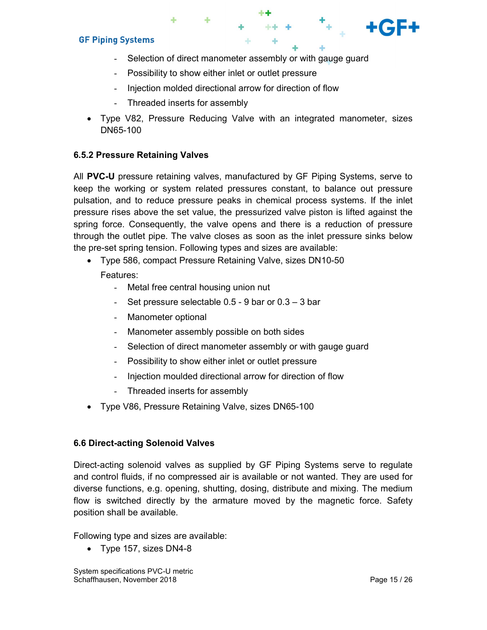- Selection of direct manometer assembly or with gauge guard
- Possibility to show either inlet or outlet pressure
- Injection molded directional arrow for direction of flow
- Threaded inserts for assembly
- Type V82, Pressure Reducing Valve with an integrated manometer, sizes DN65-100

#### 6.5.2 Pressure Retaining Valves

All PVC-U pressure retaining valves, manufactured by GF Piping Systems, serve to keep the working or system related pressures constant, to balance out pressure pulsation, and to reduce pressure peaks in chemical process systems. If the inlet pressure rises above the set value, the pressurized valve piston is lifted against the spring force. Consequently, the valve opens and there is a reduction of pressure through the outlet pipe. The valve closes as soon as the inlet pressure sinks below the pre-set spring tension. Following types and sizes are available:

- Type 586, compact Pressure Retaining Valve, sizes DN10-50 Features:
	- Metal free central housing union nut
	- Set pressure selectable  $0.5 9$  bar or  $0.3 3$  bar
	- Manometer optional
	- Manometer assembly possible on both sides
	- Selection of direct manometer assembly or with gauge guard
	- Possibility to show either inlet or outlet pressure
	- Injection moulded directional arrow for direction of flow
	- Threaded inserts for assembly
- Type V86, Pressure Retaining Valve, sizes DN65-100

#### 6.6 Direct-acting Solenoid Valves

Direct-acting solenoid valves as supplied by GF Piping Systems serve to regulate and control fluids, if no compressed air is available or not wanted. They are used for diverse functions, e.g. opening, shutting, dosing, distribute and mixing. The medium flow is switched directly by the armature moved by the magnetic force. Safety position shall be available.

Following type and sizes are available:

Type 157, sizes DN4-8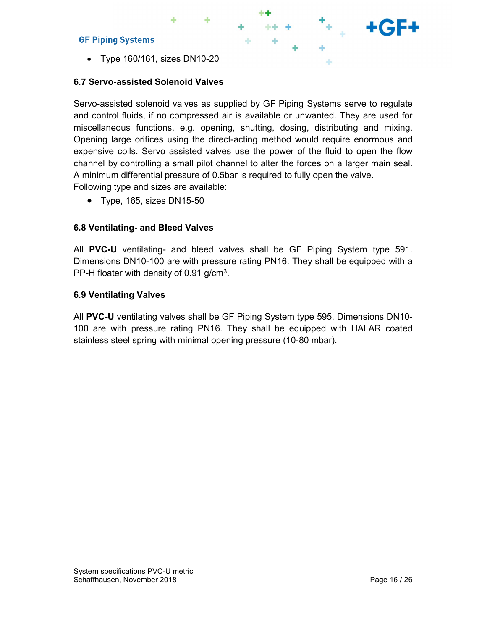Type 160/161, sizes DN10-20

## 6.7 Servo-assisted Solenoid Valves

Servo-assisted solenoid valves as supplied by GF Piping Systems serve to regulate and control fluids, if no compressed air is available or unwanted. They are used for miscellaneous functions, e.g. opening, shutting, dosing, distributing and mixing. Opening large orifices using the direct-acting method would require enormous and expensive coils. Servo assisted valves use the power of the fluid to open the flow channel by controlling a small pilot channel to alter the forces on a larger main seal. A minimum differential pressure of 0.5bar is required to fully open the valve. Following type and sizes are available:

• Type, 165, sizes DN15-50

## 6.8 Ventilating- and Bleed Valves

All PVC-U ventilating- and bleed valves shall be GF Piping System type 591. Dimensions DN10-100 are with pressure rating PN16. They shall be equipped with a PP-H floater with density of 0.91 g/cm3.

## 6.9 Ventilating Valves

All PVC-U ventilating valves shall be GF Piping System type 595. Dimensions DN10- 100 are with pressure rating PN16. They shall be equipped with HALAR coated stainless steel spring with minimal opening pressure (10-80 mbar).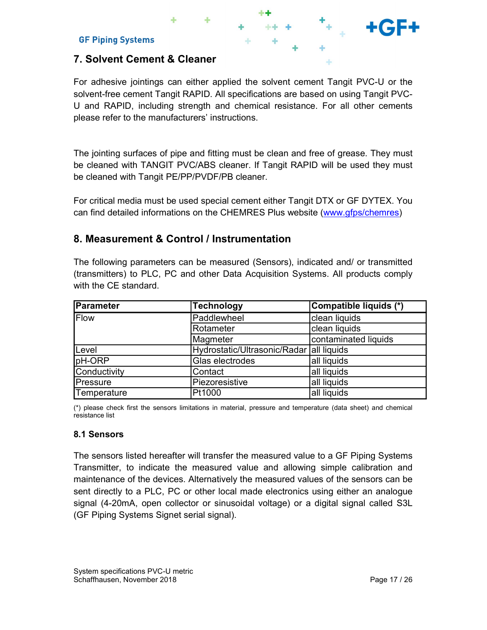# 7. Solvent Cement & Cleaner

For adhesive jointings can either applied the solvent cement Tangit PVC-U or the solvent-free cement Tangit RAPID. All specifications are based on using Tangit PVC-U and RAPID, including strength and chemical resistance. For all other cements please refer to the manufacturers' instructions.

## 8. Measurement & Control / Instrumentation

|                               | please refer to the manufacturers' instructions.                                                                                                                                                                         |                                                                                   |  |
|-------------------------------|--------------------------------------------------------------------------------------------------------------------------------------------------------------------------------------------------------------------------|-----------------------------------------------------------------------------------|--|
|                               | The jointing surfaces of pipe and fitting must be clean and free of grease. They must<br>be cleaned with TANGIT PVC/ABS cleaner. If Tangit RAPID will be used they must<br>be cleaned with Tangit PE/PP/PVDF/PB cleaner. |                                                                                   |  |
|                               | For critical media must be used special cement either Tangit DTX or GF DYTEX. You<br>can find detailed informations on the CHEMRES Plus website (www.gfps/chemres)                                                       |                                                                                   |  |
|                               | 8. Measurement & Control / Instrumentation                                                                                                                                                                               |                                                                                   |  |
|                               |                                                                                                                                                                                                                          | The following parameters can be measured (Sensors), indicated and/ or transmitted |  |
|                               | (transmitters) to PLC, PC and other Data Acquisition Systems. All products comply                                                                                                                                        |                                                                                   |  |
| Parameter                     | <b>Technology</b>                                                                                                                                                                                                        | Compatible liquids (*)                                                            |  |
| with the CE standard.<br>Flow | Paddlewheel                                                                                                                                                                                                              | clean liquids                                                                     |  |
|                               | Rotameter                                                                                                                                                                                                                | clean liquids                                                                     |  |
|                               | Magmeter                                                                                                                                                                                                                 | contaminated liquids                                                              |  |
| Level                         | Hydrostatic/Ultrasonic/Radar                                                                                                                                                                                             | all liquids                                                                       |  |
| pH-ORP                        | Glas electrodes                                                                                                                                                                                                          | all liquids                                                                       |  |
| Conductivity                  | Contact                                                                                                                                                                                                                  | all liquids                                                                       |  |
| Pressure<br>Temperature       | Piezoresistive<br>Pt1000                                                                                                                                                                                                 | all liquids<br>all liquids                                                        |  |

#### 8.1 Sensors

The sensors listed hereafter will transfer the measured value to a GF Piping Systems Transmitter, to indicate the measured value and allowing simple calibration and maintenance of the devices. Alternatively the measured values of the sensors can be sent directly to a PLC, PC or other local made electronics using either an analogue signal (4-20mA, open collector or sinusoidal voltage) or a digital signal called S3L (GF Piping Systems Signet serial signal).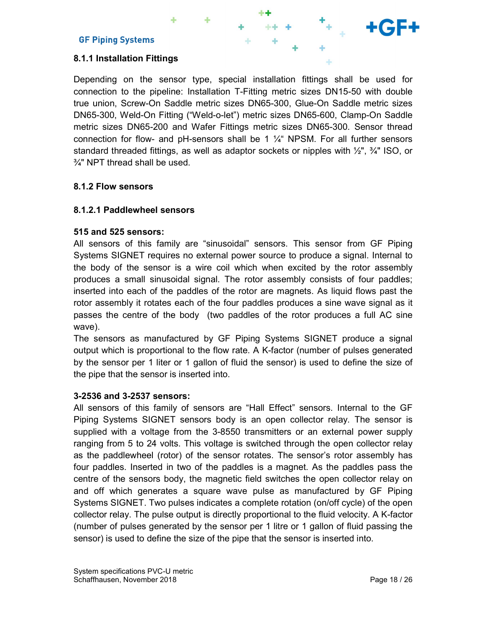### 8.1.1 Installation Fittings

Depending on the sensor type, special installation fittings shall be used for connection to the pipeline: Installation T-Fitting metric sizes DN15-50 with double true union, Screw-On Saddle metric sizes DN65-300, Glue-On Saddle metric sizes DN65-300, Weld-On Fitting ("Weld-o-let") metric sizes DN65-600, Clamp-On Saddle metric sizes DN65-200 and Wafer Fittings metric sizes DN65-300. Sensor thread connection for flow- and pH-sensors shall be 1  $\frac{1}{4}$  NPSM. For all further sensors standard threaded fittings, as well as adaptor sockets or nipples with  $\frac{1}{2}$ ,  $\frac{3}{4}$  ISO, or ¾" NPT thread shall be used.

#### 8.1.2 Flow sensors

#### 8.1.2.1 Paddlewheel sensors

#### 515 and 525 sensors:

All sensors of this family are "sinusoidal" sensors. This sensor from GF Piping Systems SIGNET requires no external power source to produce a signal. Internal to the body of the sensor is a wire coil which when excited by the rotor assembly produces a small sinusoidal signal. The rotor assembly consists of four paddles; inserted into each of the paddles of the rotor are magnets. As liquid flows past the rotor assembly it rotates each of the four paddles produces a sine wave signal as it passes the centre of the body (two paddles of the rotor produces a full AC sine wave).

The sensors as manufactured by GF Piping Systems SIGNET produce a signal output which is proportional to the flow rate. A K-factor (number of pulses generated by the sensor per 1 liter or 1 gallon of fluid the sensor) is used to define the size of the pipe that the sensor is inserted into.

#### 3-2536 and 3-2537 sensors:

All sensors of this family of sensors are "Hall Effect" sensors. Internal to the GF Piping Systems SIGNET sensors body is an open collector relay. The sensor is supplied with a voltage from the 3-8550 transmitters or an external power supply ranging from 5 to 24 volts. This voltage is switched through the open collector relay as the paddlewheel (rotor) of the sensor rotates. The sensor's rotor assembly has four paddles. Inserted in two of the paddles is a magnet. As the paddles pass the centre of the sensors body, the magnetic field switches the open collector relay on and off which generates a square wave pulse as manufactured by GF Piping Systems SIGNET. Two pulses indicates a complete rotation (on/off cycle) of the open collector relay. The pulse output is directly proportional to the fluid velocity. A K-factor (number of pulses generated by the sensor per 1 litre or 1 gallon of fluid passing the sensor) is used to define the size of the pipe that the sensor is inserted into.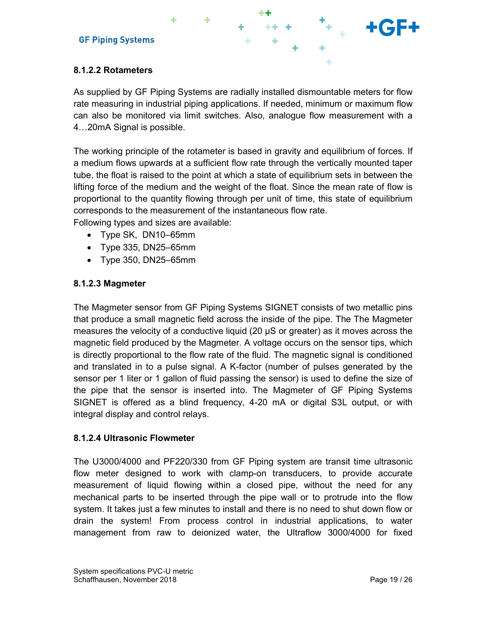## 8.1.2.2 Rotameters

As supplied by GF Piping Systems are radially installed dismountable meters for flow rate measuring in industrial piping applications. If needed, minimum or maximum flow can also be monitored via limit switches. Also, analogue flow measurement with a 4…20mA Signal is possible.

The working principle of the rotameter is based in gravity and equilibrium of forces. If a medium flows upwards at a sufficient flow rate through the vertically mounted taper tube, the float is raised to the point at which a state of equilibrium sets in between the lifting force of the medium and the weight of the float. Since the mean rate of flow is proportional to the quantity flowing through per unit of time, this state of equilibrium corresponds to the measurement of the instantaneous flow rate.

Following types and sizes are available:

- Type SK, DN10–65mm
- Type 335, DN25–65mm
- Type 350, DN25–65mm

#### 8.1.2.3 Magmeter

The Magmeter sensor from GF Piping Systems SIGNET consists of two metallic pins that produce a small magnetic field across the inside of the pipe. The The Magmeter measures the velocity of a conductive liquid (20 μS or greater) as it moves across the magnetic field produced by the Magmeter. A voltage occurs on the sensor tips, which is directly proportional to the flow rate of the fluid. The magnetic signal is conditioned and translated in to a pulse signal. A K-factor (number of pulses generated by the sensor per 1 liter or 1 gallon of fluid passing the sensor) is used to define the size of the pipe that the sensor is inserted into. The Magmeter of GF Piping Systems SIGNET is offered as a blind frequency, 4-20 mA or digital S3L output, or with integral display and control relays.

#### 8.1.2.4 Ultrasonic Flowmeter

The U3000/4000 and PF220/330 from GF Piping system are transit time ultrasonic flow meter designed to work with clamp-on transducers, to provide accurate measurement of liquid flowing within a closed pipe, without the need for any mechanical parts to be inserted through the pipe wall or to protrude into the flow system. It takes just a few minutes to install and there is no need to shut down flow or drain the system! From process control in industrial applications, to water management from raw to deionized water, the Ultraflow 3000/4000 for fixed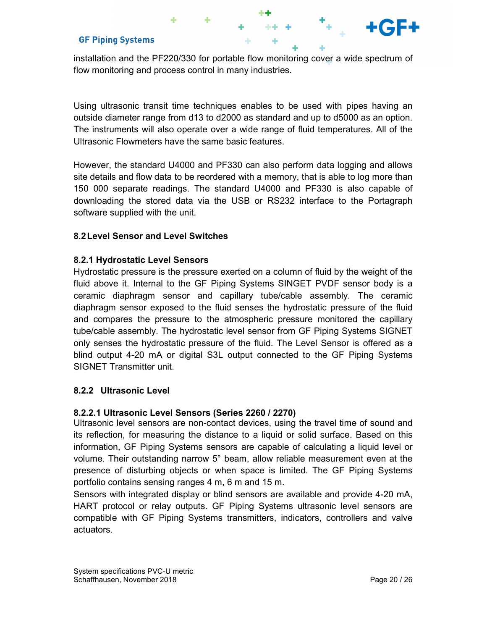installation and the PF220/330 for portable flow monitoring cover a wide spectrum of flow monitoring and process control in many industries.

Using ultrasonic transit time techniques enables to be used with pipes having an outside diameter range from d13 to d2000 as standard and up to d5000 as an option. The instruments will also operate over a wide range of fluid temperatures. All of the Ultrasonic Flowmeters have the same basic features.

However, the standard U4000 and PF330 can also perform data logging and allows site details and flow data to be reordered with a memory, that is able to log more than 150 000 separate readings. The standard U4000 and PF330 is also capable of downloading the stored data via the USB or RS232 interface to the Portagraph software supplied with the unit.

### 8.2 Level Sensor and Level Switches

### 8.2.1 Hydrostatic Level Sensors

Hydrostatic pressure is the pressure exerted on a column of fluid by the weight of the fluid above it. Internal to the GF Piping Systems SINGET PVDF sensor body is a ceramic diaphragm sensor and capillary tube/cable assembly. The ceramic diaphragm sensor exposed to the fluid senses the hydrostatic pressure of the fluid and compares the pressure to the atmospheric pressure monitored the capillary tube/cable assembly. The hydrostatic level sensor from GF Piping Systems SIGNET only senses the hydrostatic pressure of the fluid. The Level Sensor is offered as a blind output 4-20 mA or digital S3L output connected to the GF Piping Systems SIGNET Transmitter unit.

#### 8.2.2 Ultrasonic Level

## 8.2.2.1 Ultrasonic Level Sensors (Series 2260 / 2270)

Ultrasonic level sensors are non-contact devices, using the travel time of sound and its reflection, for measuring the distance to a liquid or solid surface. Based on this information, GF Piping Systems sensors are capable of calculating a liquid level or volume. Their outstanding narrow 5° beam, allow reliable measurement even at the presence of disturbing objects or when space is limited. The GF Piping Systems portfolio contains sensing ranges 4 m, 6 m and 15 m.

Sensors with integrated display or blind sensors are available and provide 4-20 mA, HART protocol or relay outputs. GF Piping Systems ultrasonic level sensors are compatible with GF Piping Systems transmitters, indicators, controllers and valve actuators.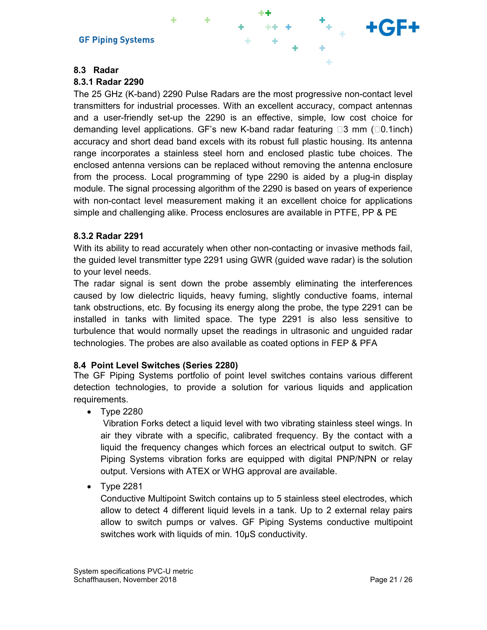#### 8.3 Radar

#### 8.3.1 Radar 2290

The 25 GHz (K-band) 2290 Pulse Radars are the most progressive non-contact level transmitters for industrial processes. With an excellent accuracy, compact antennas and a user-friendly set-up the 2290 is an effective, simple, low cost choice for demanding level applications. GF's new K-band radar featuring  $\Box 3$  mm ( $\Box 0.1$ inch) accuracy and short dead band excels with its robust full plastic housing. Its antenna range incorporates a stainless steel horn and enclosed plastic tube choices. The enclosed antenna versions can be replaced without removing the antenna enclosure from the process. Local programming of type 2290 is aided by a plug-in display module. The signal processing algorithm of the 2290 is based on years of experience with non-contact level measurement making it an excellent choice for applications simple and challenging alike. Process enclosures are available in PTFE, PP & PE

#### 8.3.2 Radar 2291

With its ability to read accurately when other non-contacting or invasive methods fail, the guided level transmitter type 2291 using GWR (guided wave radar) is the solution to your level needs.

The radar signal is sent down the probe assembly eliminating the interferences caused by low dielectric liquids, heavy fuming, slightly conductive foams, internal tank obstructions, etc. By focusing its energy along the probe, the type 2291 can be installed in tanks with limited space. The type 2291 is also less sensitive to turbulence that would normally upset the readings in ultrasonic and unguided radar technologies. The probes are also available as coated options in FEP & PFA

#### 8.4 Point Level Switches (Series 2280)

The GF Piping Systems portfolio of point level switches contains various different detection technologies, to provide a solution for various liquids and application requirements.

• Type 2280

 Vibration Forks detect a liquid level with two vibrating stainless steel wings. In air they vibrate with a specific, calibrated frequency. By the contact with a liquid the frequency changes which forces an electrical output to switch. GF Piping Systems vibration forks are equipped with digital PNP/NPN or relay output. Versions with ATEX or WHG approval are available.

• Type 2281

Conductive Multipoint Switch contains up to 5 stainless steel electrodes, which allow to detect 4 different liquid levels in a tank. Up to 2 external relay pairs allow to switch pumps or valves. GF Piping Systems conductive multipoint switches work with liquids of min. 10µS conductivity.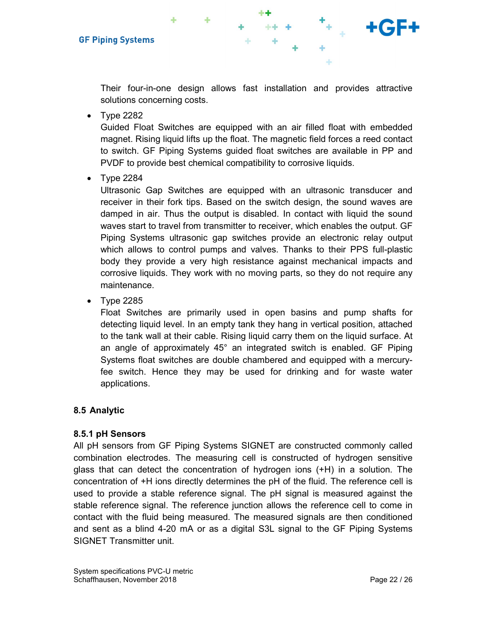

Their four-in-one design allows fast installation and provides attractive solutions concerning costs.

 $\bullet$  Type 2282

Guided Float Switches are equipped with an air filled float with embedded magnet. Rising liquid lifts up the float. The magnetic field forces a reed contact to switch. GF Piping Systems guided float switches are available in PP and PVDF to provide best chemical compatibility to corrosive liquids.

 $\bullet$  Type 2284

Ultrasonic Gap Switches are equipped with an ultrasonic transducer and receiver in their fork tips. Based on the switch design, the sound waves are damped in air. Thus the output is disabled. In contact with liquid the sound waves start to travel from transmitter to receiver, which enables the output. GF Piping Systems ultrasonic gap switches provide an electronic relay output which allows to control pumps and valves. Thanks to their PPS full-plastic body they provide a very high resistance against mechanical impacts and corrosive liquids. They work with no moving parts, so they do not require any maintenance.

 $\bullet$  Type 2285

Float Switches are primarily used in open basins and pump shafts for detecting liquid level. In an empty tank they hang in vertical position, attached to the tank wall at their cable. Rising liquid carry them on the liquid surface. At an angle of approximately 45° an integrated switch is enabled. GF Piping Systems float switches are double chambered and equipped with a mercuryfee switch. Hence they may be used for drinking and for waste water applications.

#### 8.5 Analytic

#### 8.5.1 pH Sensors

All pH sensors from GF Piping Systems SIGNET are constructed commonly called combination electrodes. The measuring cell is constructed of hydrogen sensitive glass that can detect the concentration of hydrogen ions (+H) in a solution. The concentration of +H ions directly determines the pH of the fluid. The reference cell is used to provide a stable reference signal. The pH signal is measured against the stable reference signal. The reference junction allows the reference cell to come in contact with the fluid being measured. The measured signals are then conditioned and sent as a blind 4-20 mA or as a digital S3L signal to the GF Piping Systems SIGNET Transmitter unit.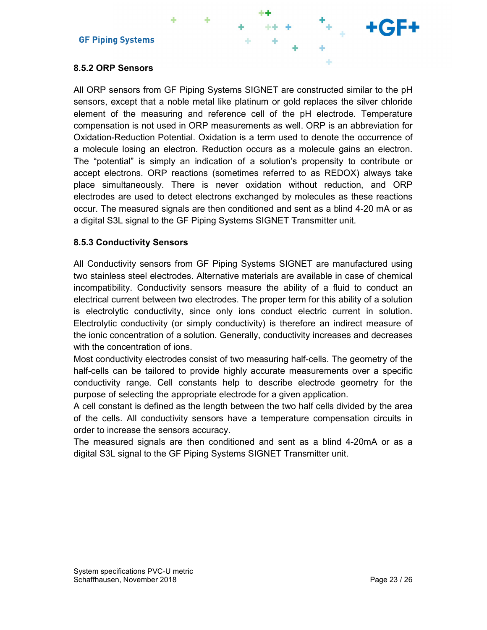

## 8.5.2 ORP Sensors

All ORP sensors from GF Piping Systems SIGNET are constructed similar to the pH sensors, except that a noble metal like platinum or gold replaces the silver chloride element of the measuring and reference cell of the pH electrode. Temperature compensation is not used in ORP measurements as well. ORP is an abbreviation for Oxidation-Reduction Potential. Oxidation is a term used to denote the occurrence of a molecule losing an electron. Reduction occurs as a molecule gains an electron. The "potential" is simply an indication of a solution's propensity to contribute or accept electrons. ORP reactions (sometimes referred to as REDOX) always take place simultaneously. There is never oxidation without reduction, and ORP electrodes are used to detect electrons exchanged by molecules as these reactions occur. The measured signals are then conditioned and sent as a blind 4-20 mA or as a digital S3L signal to the GF Piping Systems SIGNET Transmitter unit.

#### 8.5.3 Conductivity Sensors

All Conductivity sensors from GF Piping Systems SIGNET are manufactured using two stainless steel electrodes. Alternative materials are available in case of chemical incompatibility. Conductivity sensors measure the ability of a fluid to conduct an electrical current between two electrodes. The proper term for this ability of a solution is electrolytic conductivity, since only ions conduct electric current in solution. Electrolytic conductivity (or simply conductivity) is therefore an indirect measure of the ionic concentration of a solution. Generally, conductivity increases and decreases with the concentration of ions.

Most conductivity electrodes consist of two measuring half-cells. The geometry of the half-cells can be tailored to provide highly accurate measurements over a specific conductivity range. Cell constants help to describe electrode geometry for the purpose of selecting the appropriate electrode for a given application.

A cell constant is defined as the length between the two half cells divided by the area of the cells. All conductivity sensors have a temperature compensation circuits in order to increase the sensors accuracy.

The measured signals are then conditioned and sent as a blind 4-20mA or as a digital S3L signal to the GF Piping Systems SIGNET Transmitter unit.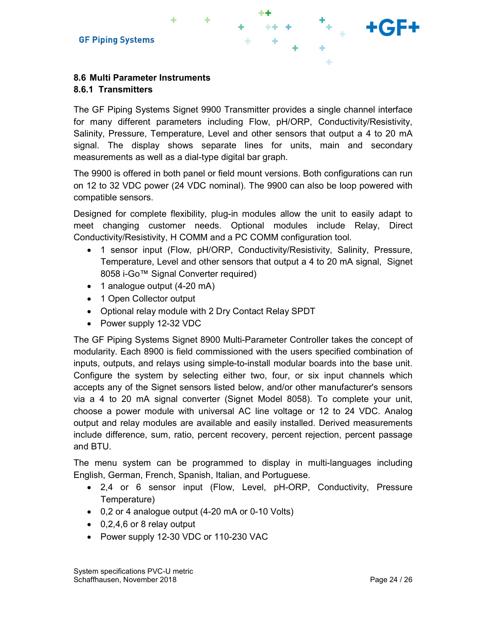## 8.6.1 Transmitters

The GF Piping Systems Signet 9900 Transmitter provides a single channel interface for many different parameters including Flow, pH/ORP, Conductivity/Resistivity, Salinity, Pressure, Temperature, Level and other sensors that output a 4 to 20 mA signal. The display shows separate lines for units, main and secondary measurements as well as a dial-type digital bar graph.

\*\* .

The 9900 is offered in both panel or field mount versions. Both configurations can run on 12 to 32 VDC power (24 VDC nominal). The 9900 can also be loop powered with compatible sensors.

Designed for complete flexibility, plug-in modules allow the unit to easily adapt to meet changing customer needs. Optional modules include Relay, Direct Conductivity/Resistivity, H COMM and a PC COMM configuration tool.

- 1 sensor input (Flow, pH/ORP, Conductivity/Resistivity, Salinity, Pressure, Temperature, Level and other sensors that output a 4 to 20 mA signal, Signet 8058 i-Go™ Signal Converter required)
- 1 analogue output (4-20 mA)
- 1 Open Collector output
- Optional relay module with 2 Dry Contact Relay SPDT
- Power supply 12-32 VDC

The GF Piping Systems Signet 8900 Multi-Parameter Controller takes the concept of modularity. Each 8900 is field commissioned with the users specified combination of inputs, outputs, and relays using simple-to-install modular boards into the base unit. Configure the system by selecting either two, four, or six input channels which accepts any of the Signet sensors listed below, and/or other manufacturer's sensors via a 4 to 20 mA signal converter (Signet Model 8058). To complete your unit, choose a power module with universal AC line voltage or 12 to 24 VDC. Analog output and relay modules are available and easily installed. Derived measurements include difference, sum, ratio, percent recovery, percent rejection, percent passage and BTU.

The menu system can be programmed to display in multi-languages including English, German, French, Spanish, Italian, and Portuguese.

- 2,4 or 6 sensor input (Flow, Level, pH-ORP, Conductivity, Pressure Temperature)
- 0,2 or 4 analogue output (4-20 mA or 0-10 Volts)
- 0,2,4,6 or 8 relay output
- Power supply 12-30 VDC or 110-230 VAC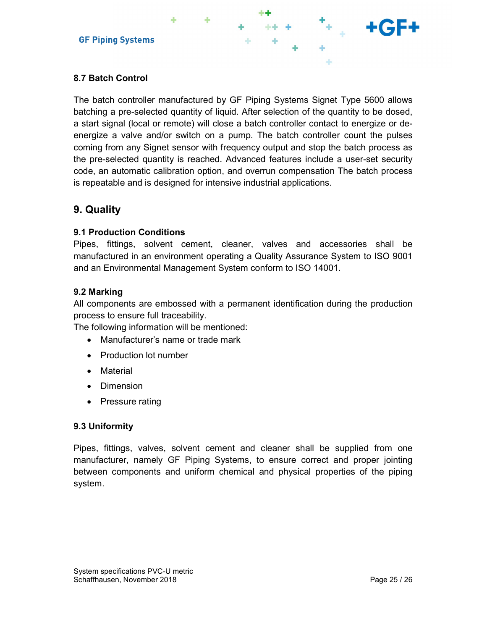

## 8.7 Batch Control

The batch controller manufactured by GF Piping Systems Signet Type 5600 allows batching a pre-selected quantity of liquid. After selection of the quantity to be dosed, a start signal (local or remote) will close a batch controller contact to energize or deenergize a valve and/or switch on a pump. The batch controller count the pulses coming from any Signet sensor with frequency output and stop the batch process as the pre-selected quantity is reached. Advanced features include a user-set security code, an automatic calibration option, and overrun compensation The batch process is repeatable and is designed for intensive industrial applications.

# 9. Quality

#### 9.1 Production Conditions

Pipes, fittings, solvent cement, cleaner, valves and accessories shall be manufactured in an environment operating a Quality Assurance System to ISO 9001 and an Environmental Management System conform to ISO 14001.

#### 9.2 Marking

All components are embossed with a permanent identification during the production process to ensure full traceability.

The following information will be mentioned:

- Manufacturer's name or trade mark
- Production lot number
- Material
- Dimension
- Pressure rating

#### 9.3 Uniformity

Pipes, fittings, valves, solvent cement and cleaner shall be supplied from one manufacturer, namely GF Piping Systems, to ensure correct and proper jointing between components and uniform chemical and physical properties of the piping system.